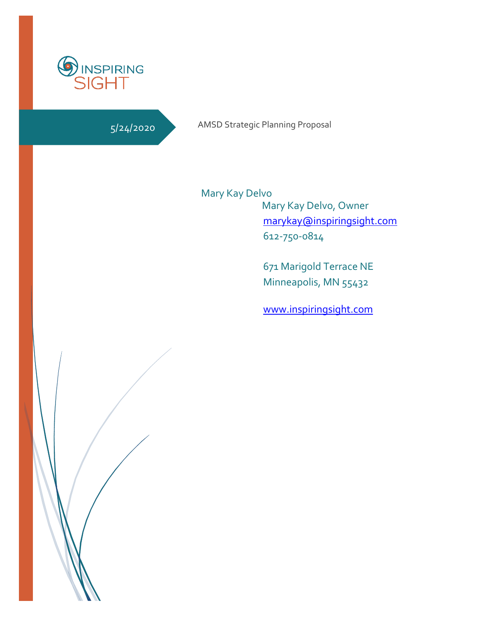

# 5/24/2020

AMSD Strategic Planning Proposal

 Mary Kay Delvo, Owner [marykay@inspiringsight.com](mailto:marykay@inspiringsight.com) 612-750-0814 Mary Kay Delvo

> 671 Marigold Terrace NE Minneapolis, MN 55432

> [www.inspiringsight.com](http://www.inspiringsight.com/)

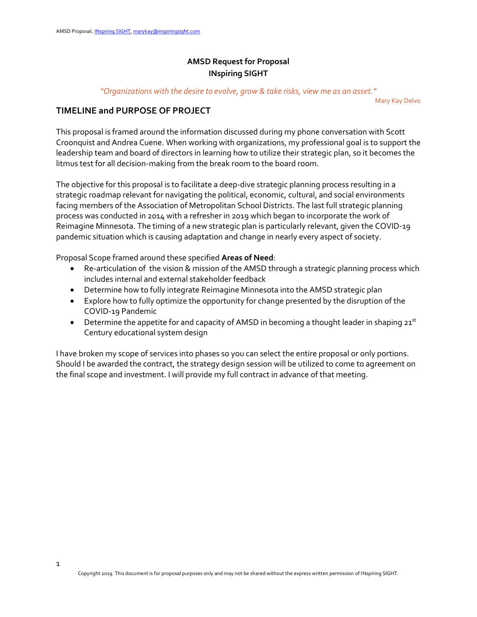# **AMSD Request for Proposal INspiring SIGHT**

*"Organizations with the desire to evolve, grow & take risks, view me as an asset."* 

Mary Kay Delvo

## **TIMELINE and PURPOSE OF PROJECT**

This proposal is framed around the information discussed during my phone conversation with Scott Croonquist and Andrea Cuene. When working with organizations, my professional goal is to support the leadership team and board of directors in learning how to utilize their strategic plan, so it becomes the litmus test for all decision-making from the break room to the board room.

The objective for this proposal is to facilitate a deep-dive strategic planning process resulting in a strategic roadmap relevant for navigating the political, economic, cultural, and social environments facing members of the Association of Metropolitan School Districts. The last full strategic planning process was conducted in 2014 with a refresher in 2019 which began to incorporate the work of Reimagine Minnesota. The timing of a new strategic plan is particularly relevant, given the COVID-19 pandemic situation which is causing adaptation and change in nearly every aspect of society.

Proposal Scope framed around these specified **Areas of Need**:

- Re-articulation of the vision & mission of the AMSD through a strategic planning process which includes internal and external stakeholder feedback
- Determine how to fully integrate Reimagine Minnesota into the AMSD strategic plan
- Explore how to fully optimize the opportunity for change presented by the disruption of the COVID-19 Pandemic
- Determine the appetite for and capacity of AMSD in becoming a thought leader in shaping  $21^{st}$ Century educational system design

I have broken my scope of services into phases so you can select the entire proposal or only portions. Should I be awarded the contract, the strategy design session will be utilized to come to agreement on the final scope and investment. I will provide my full contract in advance of that meeting.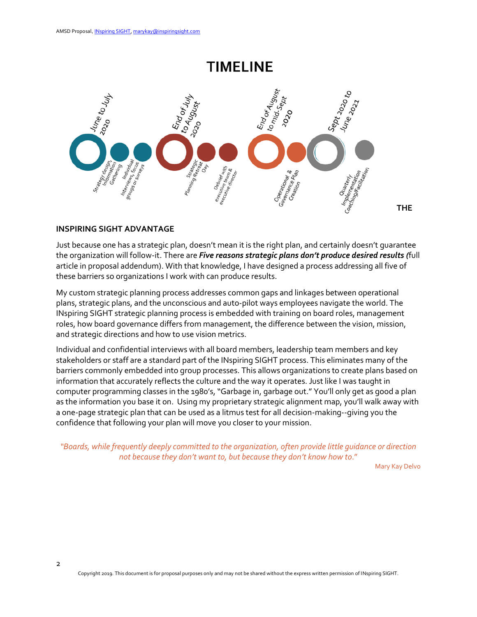# TIMELINE



#### **INSPIRING SIGHT ADVANTAGE**

Just because one has a strategic plan, doesn't mean it is the right plan, and certainly doesn't guarantee the organization will follow-it. There are *Five reasons strategic plans don't produce desired results (*full article in proposal addendum). With that knowledge, I have designed a process addressing all five of these barriers so organizations I work with can produce results.

My custom strategic planning process addresses common gaps and linkages between operational plans, strategic plans, and the unconscious and auto-pilot ways employees navigate the world. The INspiring SIGHT strategic planning process is embedded with training on board roles, management roles, how board governance differs from management, the difference between the vision, mission, and strategic directions and how to use vision metrics.

Individual and confidential interviews with all board members, leadership team members and key stakeholders or staff are a standard part of the INspiring SIGHT process. This eliminates many of the barriers commonly embedded into group processes. This allows organizations to create plans based on information that accurately reflects the culture and the way it operates. Just like I was taught in computer programming classes in the 1980's, "Garbage in, garbage out." You'll only get as good a plan as the information you base it on. Using my proprietary strategic alignment map, you'll walk away with a one-page strategic plan that can be used as a litmus test for all decision-making--giving you the confidence that following your plan will move you closer to your mission.

*"Boards, while frequently deeply committed to the organization, often provide little guidance or direction not because they don't want to, but because they don't know how to*."

Mary Kay Delvo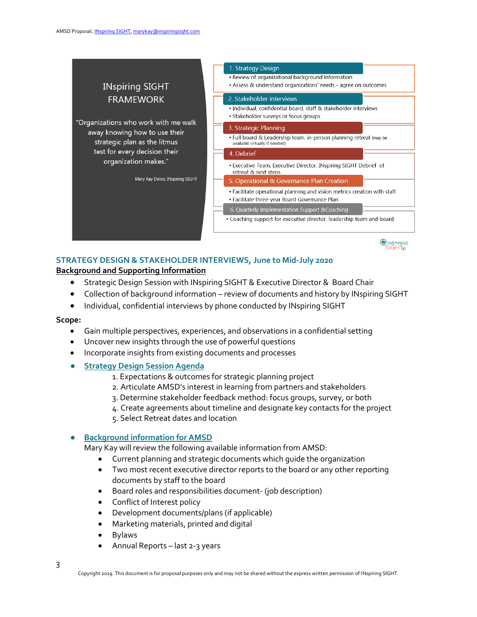

# **STRATEGY DESIGN & STAKEHOLDER INTERVIEWS, June to Mid-July 2020**

### **Background and Supporting Information**

- Strategic Design Session with INspiring SIGHT & Executive Director & Board Chair
- Collection of background information review of documents and history by INspiring SIGHT
- Individual, confidential interviews by phone conducted by INspiring SIGHT

#### **Scope:**

- Gain multiple perspectives, experiences, and observations in a confidential setting
- Uncover new insights through the use of powerful questions
- Incorporate insights from existing documents and processes
- **Strategy Design Session Agenda**
	- 1. Expectations & outcomes for strategic planning project
	- 2. Articulate AMSD's interest in learning from partners and stakeholders
	- 3. Determine stakeholder feedback method: focus groups, survey, or both
	- 4. Create agreements about timeline and designate key contacts for the project
	- 5. Select Retreat dates and location

## **Background information for AMSD**

- Mary Kay will review the following available information from AMSD:
	- Current planning and strategic documents which guide the organization
	- Two most recent executive director reports to the board or any other reporting documents by staff to the board
	- Board roles and responsibilities document- (job description)
	- Conflict of Interest policy
	- Development documents/plans (if applicable)
	- Marketing materials, printed and digital
	- Bylaws
	- Annual Reports last 2-3 years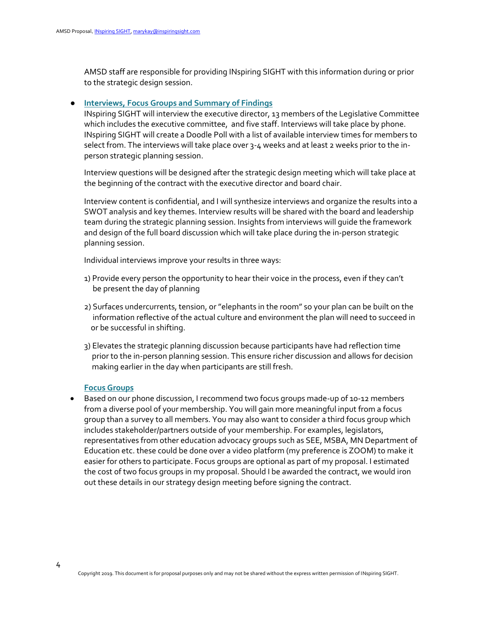AMSD staff are responsible for providing INspiring SIGHT with this information during or prior to the strategic design session.

#### **Interviews, Focus Groups and Summary of Findings**

INspiring SIGHT will interview the executive director, 13 members of the Legislative Committee which includes the executive committee, and five staff. Interviews will take place by phone. INspiring SIGHT will create a Doodle Poll with a list of available interview times for members to select from. The interviews will take place over 3-4 weeks and at least 2 weeks prior to the inperson strategic planning session.

Interview questions will be designed after the strategic design meeting which will take place at the beginning of the contract with the executive director and board chair.

Interview content is confidential, and I will synthesize interviews and organize the results into a SWOT analysis and key themes. Interview results will be shared with the board and leadership team during the strategic planning session. Insights from interviews will guide the framework and design of the full board discussion which will take place during the in-person strategic planning session.

Individual interviews improve your results in three ways:

- 1) Provide every person the opportunity to hear their voice in the process, even if they can't be present the day of planning
- 2) Surfaces undercurrents, tension, or "elephants in the room" so your plan can be built on the information reflective of the actual culture and environment the plan will need to succeed in or be successful in shifting.
- 3) Elevates the strategic planning discussion because participants have had reflection time prior to the in-person planning session. This ensure richer discussion and allows for decision making earlier in the day when participants are still fresh.

#### **Focus Groups**

• Based on our phone discussion, I recommend two focus groups made-up of 10-12 members from a diverse pool of your membership. You will gain more meaningful input from a focus group than a survey to all members. You may also want to consider a third focus group which includes stakeholder/partners outside of your membership. For examples, legislators, representatives from other education advocacy groups such as SEE, MSBA, MN Department of Education etc. these could be done over a video platform (my preference is ZOOM) to make it easier for others to participate. Focus groups are optional as part of my proposal. I estimated the cost of two focus groups in my proposal. Should I be awarded the contract, we would iron out these details in our strategy design meeting before signing the contract.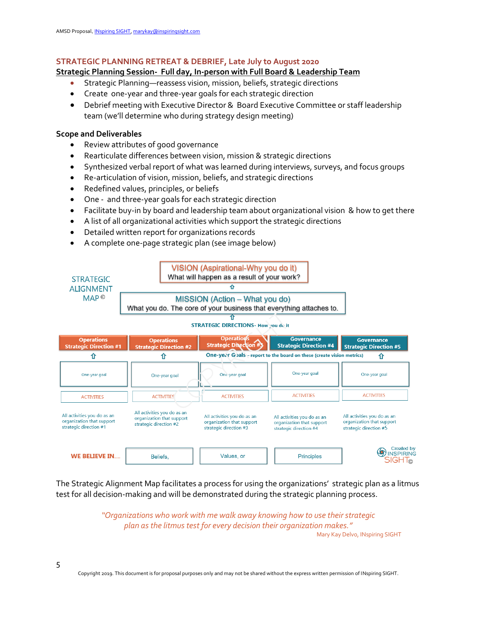## **STRATEGIC PLANNING RETREAT & DEBRIEF, Late July to August 2020**

## **Strategic Planning Session- Full day, In-person with Full Board & Leadership Team**

- Strategic Planning—reassess vision, mission, beliefs, strategic directions
- Create one-year and three-year goals for each strategic direction
- Debrief meeting with Executive Director & Board Executive Committee or staff leadership team (we'll determine who during strategy design meeting)

# **Scope and Deliverables**

- Review attributes of good governance
- Rearticulate differences between vision, mission & strategic directions
- Synthesized verbal report of what was learned during interviews, surveys, and focus groups
- Re-articulation of vision, mission, beliefs, and strategic directions
- Redefined values, principles, or beliefs
- One and three-year goals for each strategic direction
- Facilitate buy-in by board and leadership team about organizational vision & how to get there
- A list of all organizational activities which support the strategic directions
- Detailed written report for organizations records
- A complete one-page strategic plan (see image below)



The Strategic Alignment Map facilitates a process for using the organizations' strategic plan as a litmus test for all decision-making and will be demonstrated during the strategic planning process.

> *"Organizations who work with me walk away knowing how to use their strategic plan as the litmus test for every decision their organization makes."*  Mary Kay Delvo, INspiring SIGHT

Copyright 2019. This document is for proposal purposes only and may not be shared without the express written permission of INspiring SIGHT.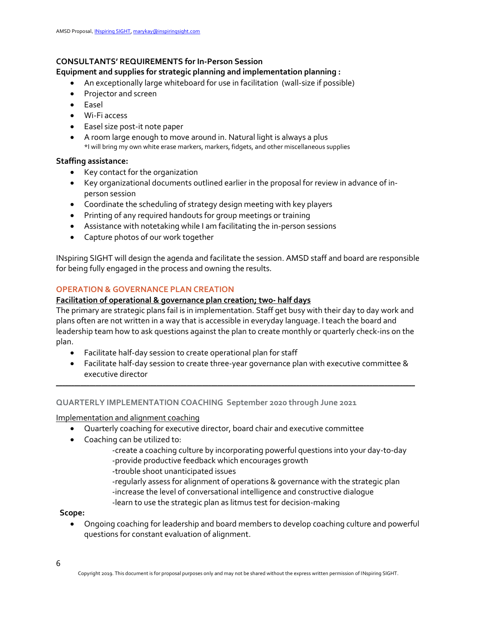## **CONSULTANTS' REQUIREMENTS for In-Person Session**

## **Equipment and supplies for strategic planning and implementation planning :**

- An exceptionally large whiteboard for use in facilitation (wall-size if possible)
- Projector and screen
- Easel
- Wi-Fi access
- Easel size post-it note paper
- A room large enough to move around in. Natural light is always a plus \*I will bring my own white erase markers, markers, fidgets, and other miscellaneous supplies

### **Staffing assistance:**

- Key contact for the organization
- Key organizational documents outlined earlier in the proposal for review in advance of inperson session
- Coordinate the scheduling of strategy design meeting with key players
- Printing of any required handouts for group meetings or training
- Assistance with notetaking while I am facilitating the in-person sessions
- Capture photos of our work together

INspiring SIGHT will design the agenda and facilitate the session. AMSD staff and board are responsible for being fully engaged in the process and owning the results.

## **OPERATION & GOVERNANCE PLAN CREATION**

## **Facilitation of operational & governance plan creation; two- half days**

The primary are strategic plans fail is in implementation. Staff get busy with their day to day work and plans often are not written in a way that is accessible in everyday language. I teach the board and leadership team how to ask questions against the plan to create monthly or quarterly check-ins on the plan.

- Facilitate half-day session to create operational plan for staff
- Facilitate half-day session to create three-year governance plan with executive committee & executive director

\_\_\_\_\_\_\_\_\_\_\_\_\_\_\_\_\_\_\_\_\_\_\_\_\_\_\_\_\_\_\_\_\_\_\_\_\_\_\_\_\_\_\_\_\_\_\_\_\_\_\_\_\_\_\_\_\_\_\_\_\_\_\_\_\_\_\_\_\_\_\_\_\_\_\_\_\_\_\_\_\_\_\_\_\_\_\_\_\_\_\_\_\_\_\_\_\_\_\_\_\_\_\_\_\_\_\_\_\_\_\_\_\_\_\_\_\_\_

### **QUARTERLY IMPLEMENTATION COACHING September 2020 through June 2021**

Implementation and alignment coaching

- Quarterly coaching for executive director, board chair and executive committee
- Coaching can be utilized to:
	- -create a coaching culture by incorporating powerful questions into your day-to-day -provide productive feedback which encourages growth
	- -trouble shoot unanticipated issues

-regularly assess for alignment of operations & governance with the strategic plan -increase the level of conversational intelligence and constructive dialogue -learn to use the strategic plan as litmus test for decision-making

### **Scope:**

• Ongoing coaching for leadership and board members to develop coaching culture and powerful questions for constant evaluation of alignment.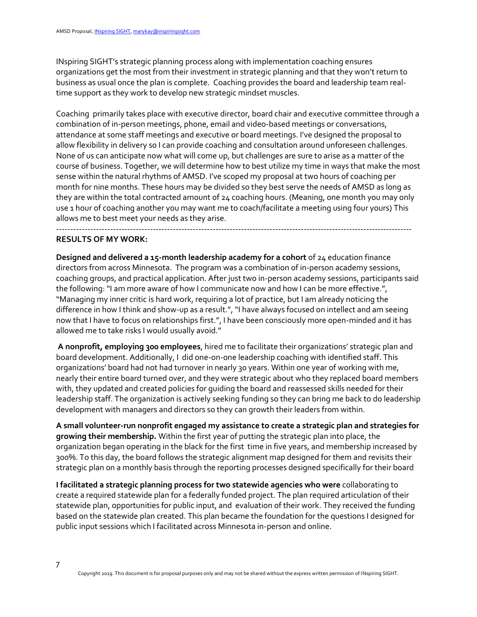INspiring SIGHT's strategic planning process along with implementation coaching ensures organizations get the most from their investment in strategic planning and that they won't return to business as usual once the plan is complete. Coaching provides the board and leadership team realtime support as they work to develop new strategic mindset muscles.

Coaching primarily takes place with executive director, board chair and executive committee through a combination of in-person meetings, phone, email and video-based meetings or conversations, attendance at some staff meetings and executive or board meetings. I've designed the proposal to allow flexibility in delivery so I can provide coaching and consultation around unforeseen challenges. None of us can anticipate now what will come up, but challenges are sure to arise as a matter of the course of business. Together, we will determine how to best utilize my time in ways that make the most sense within the natural rhythms of AMSD. I've scoped my proposal at two hours of coaching per month for nine months. These hours may be divided so they best serve the needs of AMSD as long as they are within the total contracted amount of 24 coaching hours. (Meaning, one month you may only use 1 hour of coaching another you may want me to coach/facilitate a meeting using four yours) This allows me to best meet your needs as they arise.

-----------------------------------------------------------------------------------------------------------------------------

#### **RESULTS OF MY WORK:**

**Designed and delivered a 15-month leadership academy for a cohort** of 24 education finance directors from across Minnesota. The program was a combination of in-person academy sessions, coaching groups, and practical application. After just two in-person academy sessions, participants said the following: "I am more aware of how I communicate now and how I can be more effective.", "Managing my inner critic is hard work, requiring a lot of practice, but I am already noticing the difference in how I think and show-up as a result.", "I have always focused on intellect and am seeing now that I have to focus on relationships first.", I have been consciously more open-minded and it has allowed me to take risks I would usually avoid."

**A nonprofit, employing 300 employees**, hired me to facilitate their organizations' strategic plan and board development. Additionally, I did one-on-one leadership coaching with identified staff. This organizations' board had not had turnover in nearly 30 years. Within one year of working with me, nearly their entire board turned over, and they were strategic about who they replaced board members with, they updated and created policies for guiding the board and reassessed skills needed for their leadership staff. The organization is actively seeking funding so they can bring me back to do leadership development with managers and directors so they can growth their leaders from within.

**A small volunteer-run nonprofit engaged my assistance to create a strategic plan and strategies for growing their membership.** Within the first year of putting the strategic plan into place, the organization began operating in the black for the first time in five years, and membership increased by 300%. To this day, the board follows the strategic alignment map designed for them and revisits their strategic plan on a monthly basis through the reporting processes designed specifically for their board

**I facilitated a strategic planning process for two statewide agencies who were** collaborating to create a required statewide plan for a federally funded project. The plan required articulation of their statewide plan, opportunities for public input, and evaluation of their work. They received the funding based on the statewide plan created. This plan became the foundation for the questions I designed for public input sessions which I facilitated across Minnesota in-person and online.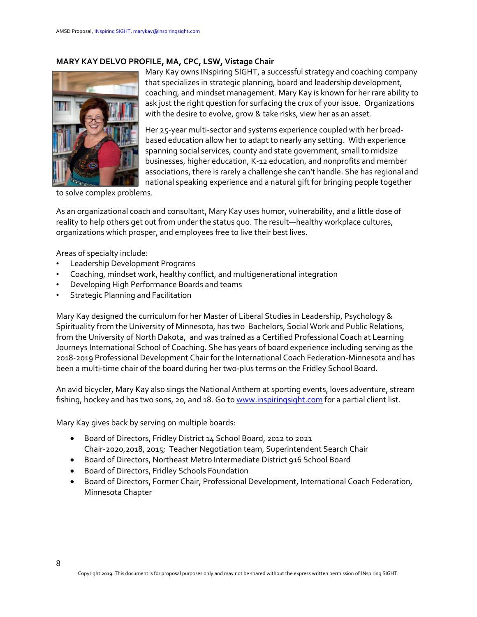## **MARY KAY DELVO PROFILE, MA, CPC, LSW, Vistage Chair**



Mary Kay owns INspiring SIGHT, a successful strategy and coaching company that specializes in strategic planning, board and leadership development, coaching, and mindset management. Mary Kay is known for her rare ability to ask just the right question for surfacing the crux of your issue. Organizations with the desire to evolve, grow & take risks, view her as an asset.

Her 25-year multi-sector and systems experience coupled with her broadbased education allow her to adapt to nearly any setting. With experience spanning social services, county and state government, small to midsize businesses, higher education, K-12 education, and nonprofits and member associations, there is rarely a challenge she can't handle. She has regional and national speaking experience and a natural gift for bringing people together

to solve complex problems.

As an organizational coach and consultant, Mary Kay uses humor, vulnerability, and a little dose of reality to help others get out from under the status quo. The result—healthy workplace cultures, organizations which prosper, and employees free to live their best lives.

Areas of specialty include:

- Leadership Development Programs
- Coaching, mindset work, healthy conflict, and multigenerational integration
- Developing High Performance Boards and teams
- Strategic Planning and Facilitation

Mary Kay designed the curriculum for her Master of Liberal Studies in Leadership, Psychology & Spirituality from the University of Minnesota, has two Bachelors, Social Work and Public Relations, from the University of North Dakota, and was trained as a Certified Professional Coach at Learning Journeys International School of Coaching. She has years of board experience including serving as the 2018-2019 Professional Development Chair for the International Coach Federation-Minnesota and has been a multi-time chair of the board during her two-plus terms on the Fridley School Board.

An avid bicycler, Mary Kay also sings the National Anthem at sporting events, loves adventure, stream fishing, hockey and has two sons, 20, and 18. Go t[o www.inspiringsight.com](http://www.inspiringsight.com/) for a partial client list.

Mary Kay gives back by serving on multiple boards:

- Board of Directors, Fridley District 14 School Board, 2012 to 2021 Chair-2020,2018, 2015; Teacher Negotiation team, Superintendent Search Chair
- Board of Directors, Northeast Metro Intermediate District 916 School Board
- Board of Directors, Fridley Schools Foundation
- Board of Directors, Former Chair, Professional Development, International Coach Federation, Minnesota Chapter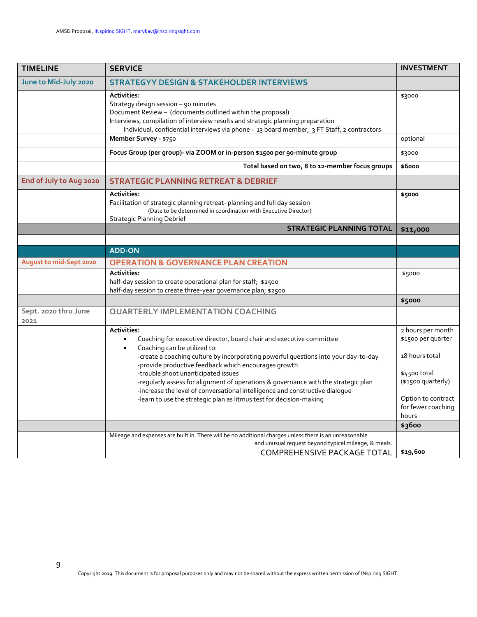| <b>TIMELINE</b>              | <b>SERVICE</b>                                                                                                                                                                                                                                                                                                                                                                                                                                                                                                                                                                          | <b>INVESTMENT</b>                                                                                                                                              |
|------------------------------|-----------------------------------------------------------------------------------------------------------------------------------------------------------------------------------------------------------------------------------------------------------------------------------------------------------------------------------------------------------------------------------------------------------------------------------------------------------------------------------------------------------------------------------------------------------------------------------------|----------------------------------------------------------------------------------------------------------------------------------------------------------------|
| June to Mid-July 2020        | <b>STRATEGYY DESIGN &amp; STAKEHOLDER INTERVIEWS</b>                                                                                                                                                                                                                                                                                                                                                                                                                                                                                                                                    |                                                                                                                                                                |
|                              | <b>Activities:</b><br>Strategy design session - 90 minutes<br>Document Review - (documents outlined within the proposal)<br>Interviews, compilation of interview results and strategic planning preparation<br>Individual, confidential interviews via phone - 13 board member, 3 FT Staff, 2 contractors                                                                                                                                                                                                                                                                               | \$3000                                                                                                                                                         |
|                              | Member Survey - \$750                                                                                                                                                                                                                                                                                                                                                                                                                                                                                                                                                                   | optional                                                                                                                                                       |
|                              | Focus Group (per group)- via ZOOM or in-person \$1500 per 90-minute group                                                                                                                                                                                                                                                                                                                                                                                                                                                                                                               | \$3000                                                                                                                                                         |
|                              | Total based on two, 8 to 12-member focus groups                                                                                                                                                                                                                                                                                                                                                                                                                                                                                                                                         | \$6000                                                                                                                                                         |
| End of July to Aug 2020      | <b>STRATEGIC PLANNING RETREAT &amp; DEBRIEF</b>                                                                                                                                                                                                                                                                                                                                                                                                                                                                                                                                         |                                                                                                                                                                |
|                              | <b>Activities:</b><br>Facilitation of strategic planning retreat-planning and full day session<br>(Date to be determined in coordination with Executive Director)<br><b>Strategic Planning Debrief</b>                                                                                                                                                                                                                                                                                                                                                                                  | \$5000                                                                                                                                                         |
|                              | <b>STRATEGIC PLANNING TOTAL</b>                                                                                                                                                                                                                                                                                                                                                                                                                                                                                                                                                         | \$11,000                                                                                                                                                       |
|                              |                                                                                                                                                                                                                                                                                                                                                                                                                                                                                                                                                                                         |                                                                                                                                                                |
|                              | <b>ADD-ON</b>                                                                                                                                                                                                                                                                                                                                                                                                                                                                                                                                                                           |                                                                                                                                                                |
| August to mid-Sept 2020      | <b>OPERATION &amp; GOVERNANCE PLAN CREATION</b>                                                                                                                                                                                                                                                                                                                                                                                                                                                                                                                                         |                                                                                                                                                                |
|                              | <b>Activities:</b><br>half-day session to create operational plan for staff; \$2500<br>half-day session to create three-year governance plan; \$2500                                                                                                                                                                                                                                                                                                                                                                                                                                    | \$5000                                                                                                                                                         |
|                              |                                                                                                                                                                                                                                                                                                                                                                                                                                                                                                                                                                                         | \$5000                                                                                                                                                         |
| Sept. 2020 thru June<br>2021 | <b>QUARTERLY IMPLEMENTATION COACHING</b>                                                                                                                                                                                                                                                                                                                                                                                                                                                                                                                                                |                                                                                                                                                                |
|                              | <b>Activities:</b><br>Coaching for executive director, board chair and executive committee<br>$\bullet$<br>Coaching can be utilized to:<br>$\bullet$<br>-create a coaching culture by incorporating powerful questions into your day-to-day<br>-provide productive feedback which encourages growth<br>-trouble shoot unanticipated issues<br>-regularly assess for alignment of operations & governance with the strategic plan<br>-increase the level of conversational intelligence and constructive dialogue<br>-learn to use the strategic plan as litmus test for decision-making | 2 hours per month<br>\$1500 per quarter<br>18 hours total<br>\$4500 total<br>(\$1500 quarterly)<br>Option to contract<br>for fewer coaching<br>hours<br>\$3600 |
|                              | Mileage and expenses are built in. There will be no additional charges unless there is an unreasonable                                                                                                                                                                                                                                                                                                                                                                                                                                                                                  |                                                                                                                                                                |
|                              | and unusual request beyond typical mileage, & meals.<br>COMPREHENSIVE PACKAGE TOTAL                                                                                                                                                                                                                                                                                                                                                                                                                                                                                                     | \$19,600                                                                                                                                                       |
|                              |                                                                                                                                                                                                                                                                                                                                                                                                                                                                                                                                                                                         |                                                                                                                                                                |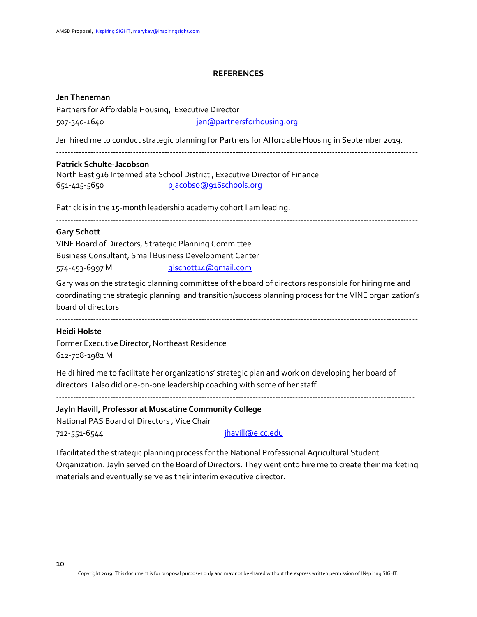#### **REFERENCES**

#### **Jen Theneman**

Partners for Affordable Housing, Executive Director 507-340-1640 [jen@partnersforhousing.org](mailto:jen@partnersforhousing.org)

Jen hired me to conduct strategic planning for Partners for Affordable Housing in September 2019.

**-------------------------------------------------------------------------------------------------------------------------------**

#### **Patrick Schulte-Jacobson**

North East 916 Intermediate School District , Executive Director of Finance 651-415-5650 [pjacobso@916schools.org](mailto:pjacobso@916schools.org)

Patrick is in the 15-month leadership academy cohort I am leading.

-------------------------------------------------------------------------------------------------------------------------------

### **Gary Schott**

VINE Board of Directors, Strategic Planning Committee Business Consultant, Small Business Development Center 574-453-6997 M [glschott14@gmail.com](mailto:glschott14@gmail.com)

Gary was on the strategic planning committee of the board of directors responsible for hiring me and coordinating the strategic planning and transition/success planning process for the VINE organization's board of directors.

-------------------------------------------------------------------------------------------------------------------------------

### **Heidi Holste**

Former Executive Director, Northeast Residence 612-708-1982 M

Heidi hired me to facilitate her organizations' strategic plan and work on developing her board of directors. I also did one-on-one leadership coaching with some of her staff.

**Jayln Havill, Professor at Muscatine Community College**

National PAS Board of Directors , Vice Chair

712-551-6544 [jhavill@eicc.edu](mailto:jhavill@eicc.edu)

I facilitated the strategic planning process for the National Professional Agricultural Student Organization. Jayln served on the Board of Directors. They went onto hire me to create their marketing materials and eventually serve as their interim executive director.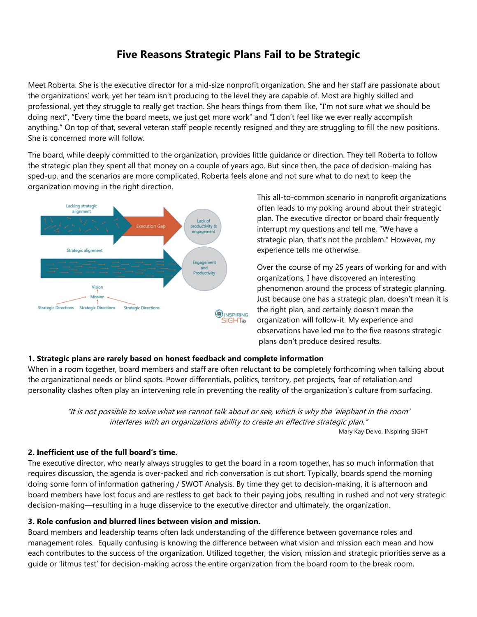# **Five Reasons Strategic Plans Fail to be Strategic**

Meet Roberta. She is the executive director for a mid-size nonprofit organization. She and her staff are passionate about the organizations' work, yet her team isn't producing to the level they are capable of. Most are highly skilled and professional, yet they struggle to really get traction. She hears things from them like, "I'm not sure what we should be doing next", "Every time the board meets, we just get more work" and "I don't feel like we ever really accomplish anything." On top of that, several veteran staff people recently resigned and they are struggling to fill the new positions. She is concerned more will follow.

The board, while deeply committed to the organization, provides little guidance or direction. They tell Roberta to follow the strategic plan they spent all that money on a couple of years ago. But since then, the pace of decision-making has sped-up, and the scenarios are more complicated. Roberta feels alone and not sure what to do next to keep the organization moving in the right direction.



This all-to-common scenario in nonprofit organizations often leads to my poking around about their strategic plan. The executive director or board chair frequently interrupt my questions and tell me, "We have a strategic plan, that's not the problem." However, my experience tells me otherwise.

Over the course of my 25 years of working for and with organizations, I have discovered an interesting phenomenon around the process of strategic planning. Just because one has a strategic plan, doesn't mean it is the right plan, and certainly doesn't mean the organization will follow-it. My experience and observations have led me to the five reasons strategic plans don't produce desired results.

### **1. Strategic plans are rarely based on honest feedback and complete information**

When in a room together, board members and staff are often reluctant to be completely forthcoming when talking about the organizational needs or blind spots. Power differentials, politics, territory, pet projects, fear of retaliation and personality clashes often play an intervening role in preventing the reality of the organization's culture from surfacing.

"It is not possible to solve what we cannot talk about or see, which is why the 'elephant in the room' interferes with an organizations ability to create an effective strategic plan." Mary Kay Delvo, INspiring SIGHT

### **2. Inefficient use of the full board's time.**

The executive director, who nearly always struggles to get the board in a room together, has so much information that requires discussion, the agenda is over-packed and rich conversation is cut short. Typically, boards spend the morning doing some form of information gathering / SWOT Analysis. By time they get to decision-making, it is afternoon and board members have lost focus and are restless to get back to their paying jobs, resulting in rushed and not very strategic decision-making—resulting in a huge disservice to the executive director and ultimately, the organization.

## **3. Role confusion and blurred lines between vision and mission.**

Board members and leadership teams often lack understanding of the difference between governance roles and management roles. Equally confusing is knowing the difference between what vision and mission each mean and how each contributes to the success of the organization. Utilized together, the vision, mission and strategic priorities serve as a guide or 'litmus test' for decision-making across the entire organization from the board room to the break room.